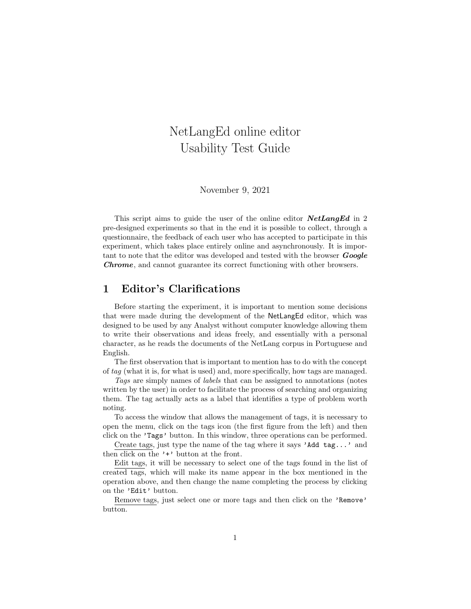# NetLangEd online editor Usability Test Guide

November 9, 2021

This script aims to guide the user of the online editor  $NetLangEd$  in 2 pre-designed experiments so that in the end it is possible to collect, through a questionnaire, the feedback of each user who has accepted to participate in this experiment, which takes place entirely online and asynchronously. It is important to note that the editor was developed and tested with the browser **Google** Chrome, and cannot guarantee its correct functioning with other browsers.

## 1 Editor's Clarifications

Before starting the experiment, it is important to mention some decisions that were made during the development of the NetLangEd editor, which was designed to be used by any Analyst without computer knowledge allowing them to write their observations and ideas freely, and essentially with a personal character, as he reads the documents of the NetLang corpus in Portuguese and English.

The first observation that is important to mention has to do with the concept of tag (what it is, for what is used) and, more specifically, how tags are managed.

Tags are simply names of labels that can be assigned to annotations (notes written by the user) in order to facilitate the process of searching and organizing them. The tag actually acts as a label that identifies a type of problem worth noting.

To access the window that allows the management of tags, it is necessary to open the menu, click on the tags icon (the first figure from the left) and then click on the 'Tags' button. In this window, three operations can be performed.

Create tags, just type the name of the tag where it says 'Add tag...' and then click on the '+' button at the front.

Edit tags, it will be necessary to select one of the tags found in the list of created tags, which will make its name appear in the box mentioned in the operation above, and then change the name completing the process by clicking on the 'Edit' button.

Remove tags, just select one or more tags and then click on the 'Remove' button.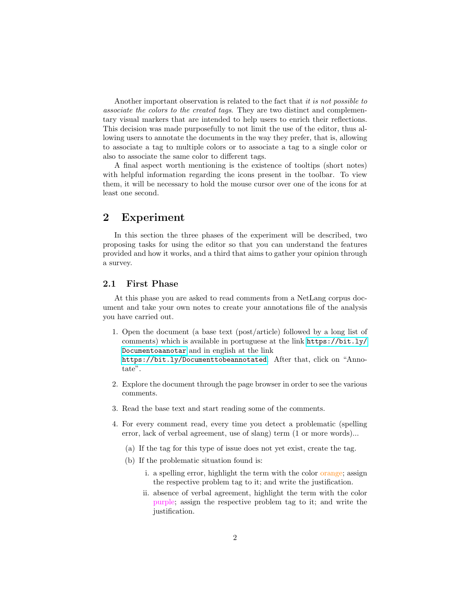Another important observation is related to the fact that it is not possible to associate the colors to the created tags. They are two distinct and complementary visual markers that are intended to help users to enrich their reflections. This decision was made purposefully to not limit the use of the editor, thus allowing users to annotate the documents in the way they prefer, that is, allowing to associate a tag to multiple colors or to associate a tag to a single color or also to associate the same color to different tags.

A final aspect worth mentioning is the existence of tooltips (short notes) with helpful information regarding the icons present in the toolbar. To view them, it will be necessary to hold the mouse cursor over one of the icons for at least one second.

## 2 Experiment

In this section the three phases of the experiment will be described, two proposing tasks for using the editor so that you can understand the features provided and how it works, and a third that aims to gather your opinion through a survey.

### 2.1 First Phase

At this phase you are asked to read comments from a NetLang corpus document and take your own notes to create your annotations file of the analysis you have carried out.

1. Open the document (a base text (post/article) followed by a long list of comments) which is available in portuguese at the link [https://bit.ly/](https://bit.ly/Documentoaanotar) [Documentoaanotar](https://bit.ly/Documentoaanotar) and in english at the link <https://bit.ly/Documenttobeannotated>. After that, click on "Anno-

tate".

- 2. Explore the document through the page browser in order to see the various comments.
- 3. Read the base text and start reading some of the comments.
- 4. For every comment read, every time you detect a problematic (spelling error, lack of verbal agreement, use of slang) term (1 or more words)...
	- (a) If the tag for this type of issue does not yet exist, create the tag.
	- (b) If the problematic situation found is:
		- i. a spelling error, highlight the term with the color orange; assign the respective problem tag to it; and write the justification.
		- ii. absence of verbal agreement, highlight the term with the color purple; assign the respective problem tag to it; and write the justification.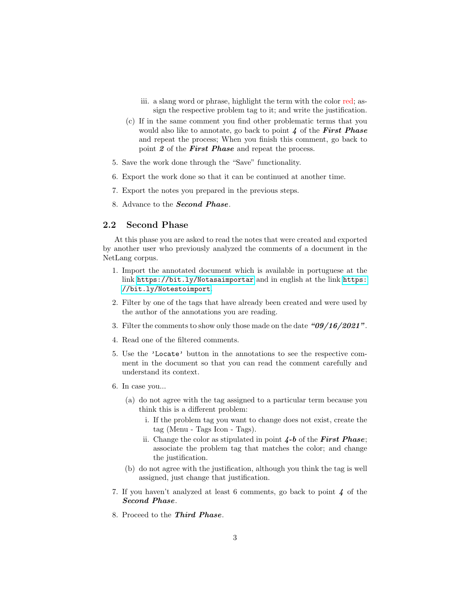- iii. a slang word or phrase, highlight the term with the color red; assign the respective problem tag to it; and write the justification.
- (c) If in the same comment you find other problematic terms that you would also like to annotate, go back to point  $\lambda$  of the First Phase and repeat the process; When you finish this comment, go back to point 2 of the **First Phase** and repeat the process.
- 5. Save the work done through the "Save" functionality.
- 6. Export the work done so that it can be continued at another time.
- 7. Export the notes you prepared in the previous steps.
- 8. Advance to the Second Phase.

#### 2.2 Second Phase

At this phase you are asked to read the notes that were created and exported by another user who previously analyzed the comments of a document in the NetLang corpus.

- 1. Import the annotated document which is available in portuguese at the link <https://bit.ly/Notasaimportar> and in english at the link [https:](https://bit.ly/Notestoimport) [//bit.ly/Notestoimport](https://bit.ly/Notestoimport).
- 2. Filter by one of the tags that have already been created and were used by the author of the annotations you are reading.
- 3. Filter the comments to show only those made on the date  $\frac{409}{16}$  2021".
- 4. Read one of the filtered comments.
- 5. Use the 'Locate' button in the annotations to see the respective comment in the document so that you can read the comment carefully and understand its context.
- 6. In case you...
	- (a) do not agree with the tag assigned to a particular term because you think this is a different problem:
		- i. If the problem tag you want to change does not exist, create the tag (Menu - Tags Icon - Tags).
		- ii. Change the color as stipulated in point  $4-b$  of the First Phase; associate the problem tag that matches the color; and change the justification.
	- (b) do not agree with the justification, although you think the tag is well assigned, just change that justification.
- 7. If you haven't analyzed at least 6 comments, go back to point 4 of the Second Phase.
- 8. Proceed to the Third Phase.